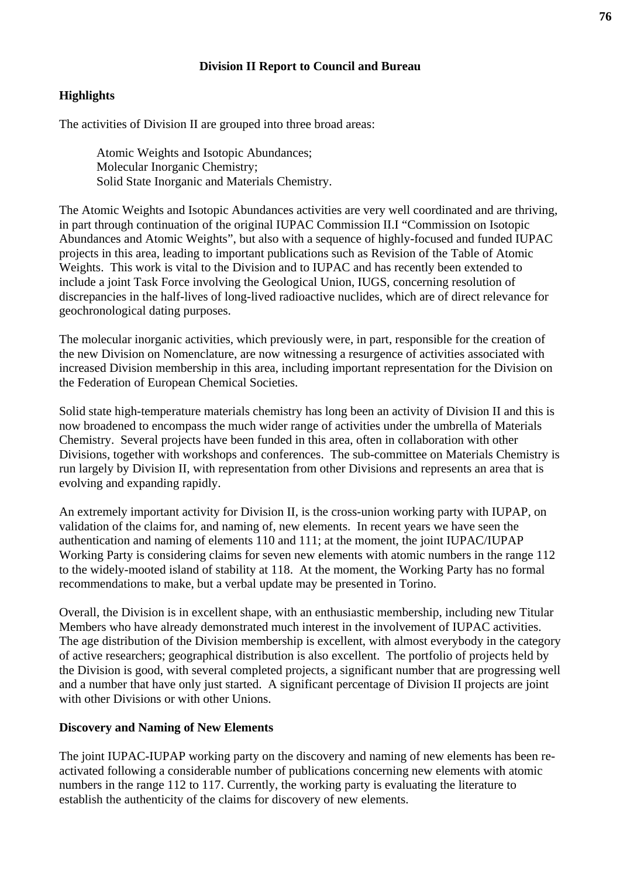#### **Division II Report to Council and Bureau**

### **Highlights**

The activities of Division II are grouped into three broad areas:

 Atomic Weights and Isotopic Abundances; Molecular Inorganic Chemistry; Solid State Inorganic and Materials Chemistry.

The Atomic Weights and Isotopic Abundances activities are very well coordinated and are thriving, in part through continuation of the original IUPAC Commission II.I "Commission on Isotopic Abundances and Atomic Weights", but also with a sequence of highly-focused and funded IUPAC projects in this area, leading to important publications such as Revision of the Table of Atomic Weights. This work is vital to the Division and to IUPAC and has recently been extended to include a joint Task Force involving the Geological Union, IUGS, concerning resolution of discrepancies in the half-lives of long-lived radioactive nuclides, which are of direct relevance for geochronological dating purposes.

The molecular inorganic activities, which previously were, in part, responsible for the creation of the new Division on Nomenclature, are now witnessing a resurgence of activities associated with increased Division membership in this area, including important representation for the Division on the Federation of European Chemical Societies.

Solid state high-temperature materials chemistry has long been an activity of Division II and this is now broadened to encompass the much wider range of activities under the umbrella of Materials Chemistry. Several projects have been funded in this area, often in collaboration with other Divisions, together with workshops and conferences. The sub-committee on Materials Chemistry is run largely by Division II, with representation from other Divisions and represents an area that is evolving and expanding rapidly.

An extremely important activity for Division II, is the cross-union working party with IUPAP, on validation of the claims for, and naming of, new elements. In recent years we have seen the authentication and naming of elements 110 and 111; at the moment, the joint IUPAC/IUPAP Working Party is considering claims for seven new elements with atomic numbers in the range 112 to the widely-mooted island of stability at 118. At the moment, the Working Party has no formal recommendations to make, but a verbal update may be presented in Torino.

Overall, the Division is in excellent shape, with an enthusiastic membership, including new Titular Members who have already demonstrated much interest in the involvement of IUPAC activities. The age distribution of the Division membership is excellent, with almost everybody in the category of active researchers; geographical distribution is also excellent. The portfolio of projects held by the Division is good, with several completed projects, a significant number that are progressing well and a number that have only just started. A significant percentage of Division II projects are joint with other Divisions or with other Unions.

### **Discovery and Naming of New Elements**

The joint IUPAC-IUPAP working party on the discovery and naming of new elements has been reactivated following a considerable number of publications concerning new elements with atomic numbers in the range 112 to 117. Currently, the working party is evaluating the literature to establish the authenticity of the claims for discovery of new elements.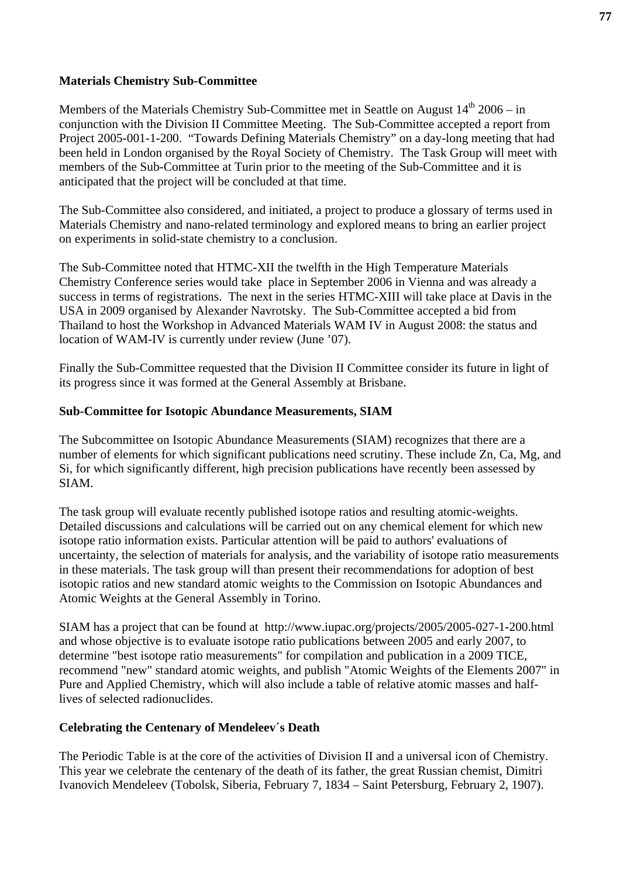#### **Materials Chemistry Sub-Committee**

Members of the Materials Chemistry Sub-Committee met in Seattle on August  $14<sup>th</sup> 2006 - in$ conjunction with the Division II Committee Meeting. The Sub-Committee accepted a report from Project 2005-001-1-200. "Towards Defining Materials Chemistry" on a day-long meeting that had been held in London organised by the Royal Society of Chemistry. The Task Group will meet with members of the Sub-Committee at Turin prior to the meeting of the Sub-Committee and it is anticipated that the project will be concluded at that time.

The Sub-Committee also considered, and initiated, a project to produce a glossary of terms used in Materials Chemistry and nano-related terminology and explored means to bring an earlier project on experiments in solid-state chemistry to a conclusion.

The Sub-Committee noted that HTMC-XII the twelfth in the High Temperature Materials Chemistry Conference series would take place in September 2006 in Vienna and was already a success in terms of registrations. The next in the series HTMC-XIII will take place at Davis in the USA in 2009 organised by Alexander Navrotsky. The Sub-Committee accepted a bid from Thailand to host the Workshop in Advanced Materials WAM IV in August 2008: the status and location of WAM-IV is currently under review (June '07).

Finally the Sub-Committee requested that the Division II Committee consider its future in light of its progress since it was formed at the General Assembly at Brisbane.

#### **Sub-Committee for Isotopic Abundance Measurements, SIAM**

The Subcommittee on Isotopic Abundance Measurements (SIAM) recognizes that there are a number of elements for which significant publications need scrutiny. These include Zn, Ca, Mg, and Si, for which significantly different, high precision publications have recently been assessed by SIAM.

The task group will evaluate recently published isotope ratios and resulting atomic-weights. Detailed discussions and calculations will be carried out on any chemical element for which new isotope ratio information exists. Particular attention will be paid to authors' evaluations of uncertainty, the selection of materials for analysis, and the variability of isotope ratio measurements in these materials. The task group will than present their recommendations for adoption of best isotopic ratios and new standard atomic weights to the Commission on Isotopic Abundances and Atomic Weights at the General Assembly in Torino.

SIAM has a project that can be found at http://www.iupac.org/projects/2005/2005-027-1-200.html and whose objective is to evaluate isotope ratio publications between 2005 and early 2007, to determine "best isotope ratio measurements" for compilation and publication in a 2009 TICE, recommend "new" standard atomic weights, and publish "Atomic Weights of the Elements 2007" in Pure and Applied Chemistry, which will also include a table of relative atomic masses and halflives of selected radionuclides.

### **Celebrating the Centenary of Mendeleev´s Death**

The Periodic Table is at the core of the activities of Division II and a universal icon of Chemistry. This year we celebrate the centenary of the death of its father, the great Russian chemist, Dimitri Ivanovich Mendeleev (Tobolsk, Siberia, February 7, 1834 – Saint Petersburg, February 2, 1907).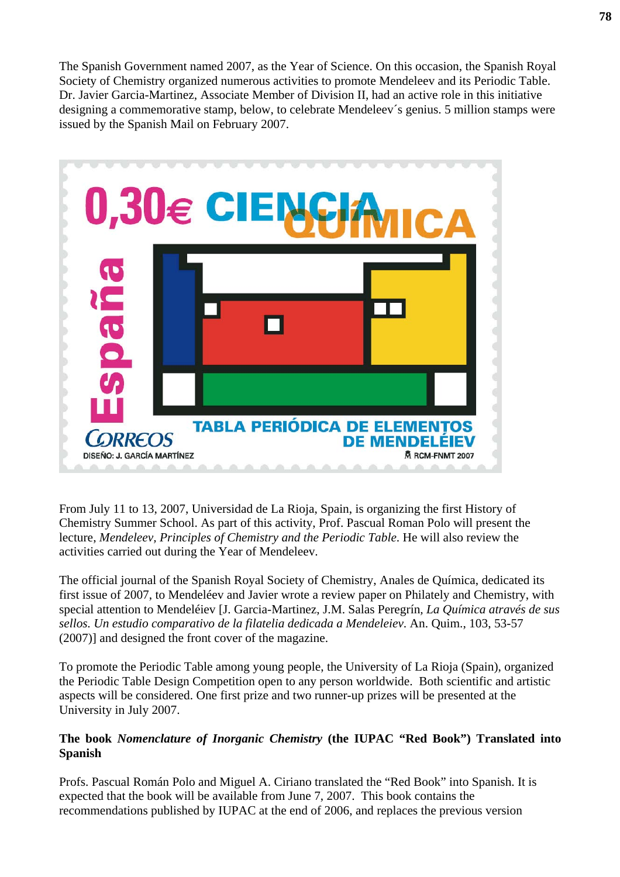The Spanish Government named 2007, as the Year of Science. On this occasion, the Spanish Royal Society of Chemistry organized numerous activities to promote Mendeleev and its Periodic Table. Dr. Javier Garcia-Martinez, Associate Member of Division II, had an active role in this initiative designing a commemorative stamp, below, to celebrate Mendeleev´s genius. 5 million stamps were issued by the Spanish Mail on February 2007.



From July 11 to 13, 2007, Universidad de La Rioja, Spain, is organizing the first History of Chemistry Summer School. As part of this activity, Prof. Pascual Roman Polo will present the lecture, *Mendeleev, Principles of Chemistry and the Periodic Table*. He will also review the activities carried out during the Year of Mendeleev.

The official journal of the Spanish Royal Society of Chemistry, Anales de Química, dedicated its first issue of 2007, to Mendeléev and Javier wrote a review paper on Philately and Chemistry, with special attention to Mendeléiev [J. Garcia-Martinez, J.M. Salas Peregrín*, La Química através de sus sellos. Un estudio comparativo de la filatelia dedicada a Mendeleiev*. An. Quim., 103, 53-57 (2007)] and designed the front cover of the magazine.

To promote the Periodic Table among young people, the University of La Rioja (Spain), organized the Periodic Table Design Competition open to any person worldwide. Both scientific and artistic aspects will be considered. One first prize and two runner-up prizes will be presented at the University in July 2007.

### **The book** *Nomenclature of Inorganic Chemistry* **(the IUPAC "Red Book") Translated into Spanish**

Profs. Pascual Román Polo and Miguel A. Ciriano translated the "Red Book" into Spanish. It is expected that the book will be available from June 7, 2007. This book contains the recommendations published by IUPAC at the end of 2006, and replaces the previous version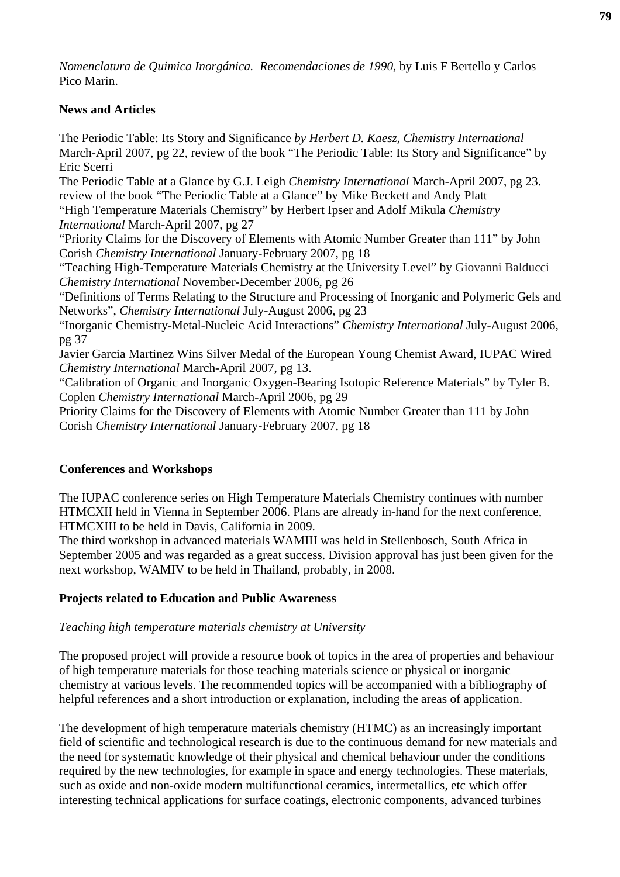*Nomenclatura de Quimica Inorgánica. Recomendaciones de 1990*, by Luis F Bertello y Carlos Pico Marin.

### **News and Articles**

The Periodic Table: Its Story and Significance *by Herbert D. Kaesz, Chemistry International*  March-April 2007, pg 22, review of the book "The Periodic Table: Its Story and Significance" by Eric Scerri The Periodic Table at a Glance by G.J. Leigh *Chemistry International* March-April 2007, pg 23. review of the book "The Periodic Table at a Glance" by Mike Beckett and Andy Platt "High Temperature Materials Chemistry" by Herbert Ipser and Adolf Mikula *Chemistry International* March-April 2007, pg 27 "Priority Claims for the Discovery of Elements with Atomic Number Greater than 111" by John Corish *Chemistry International* January-February 2007, pg 18 "Teaching High-Temperature Materials Chemistry at the University Level" by Giovanni Balducci *Chemistry International* November-December 2006, pg 26 "Definitions of Terms Relating to the Structure and Processing of Inorganic and Polymeric Gels and Networks", *Chemistry International* July-August 2006, pg 23 "Inorganic Chemistry**-**Metal-Nucleic Acid Interactions" *Chemistry International* July-August 2006, pg 37 Javier Garcia Martinez Wins Silver Medal of the European Young Chemist Award, IUPAC Wired *Chemistry International* March-April 2007, pg 13. "Calibration of Organic and Inorganic Oxygen-Bearing Isotopic Reference Materials" by Tyler B. Coplen *Chemistry International* March-April 2006, pg 29 Priority Claims for the Discovery of Elements with Atomic Number Greater than 111 by John Corish *Chemistry International* January-February 2007, pg 18

# **Conferences and Workshops**

The IUPAC conference series on High Temperature Materials Chemistry continues with number HTMCXII held in Vienna in September 2006. Plans are already in-hand for the next conference, HTMCXIII to be held in Davis, California in 2009.

The third workshop in advanced materials WAMIII was held in Stellenbosch, South Africa in September 2005 and was regarded as a great success. Division approval has just been given for the next workshop, WAMIV to be held in Thailand, probably, in 2008.

### **Projects related to Education and Public Awareness**

### *Teaching high temperature materials chemistry at University*

The proposed project will provide a resource book of topics in the area of properties and behaviour of high temperature materials for those teaching materials science or physical or inorganic chemistry at various levels. The recommended topics will be accompanied with a bibliography of helpful references and a short introduction or explanation, including the areas of application.

The development of high temperature materials chemistry (HTMC) as an increasingly important field of scientific and technological research is due to the continuous demand for new materials and the need for systematic knowledge of their physical and chemical behaviour under the conditions required by the new technologies, for example in space and energy technologies. These materials, such as oxide and non-oxide modern multifunctional ceramics, intermetallics, etc which offer interesting technical applications for surface coatings, electronic components, advanced turbines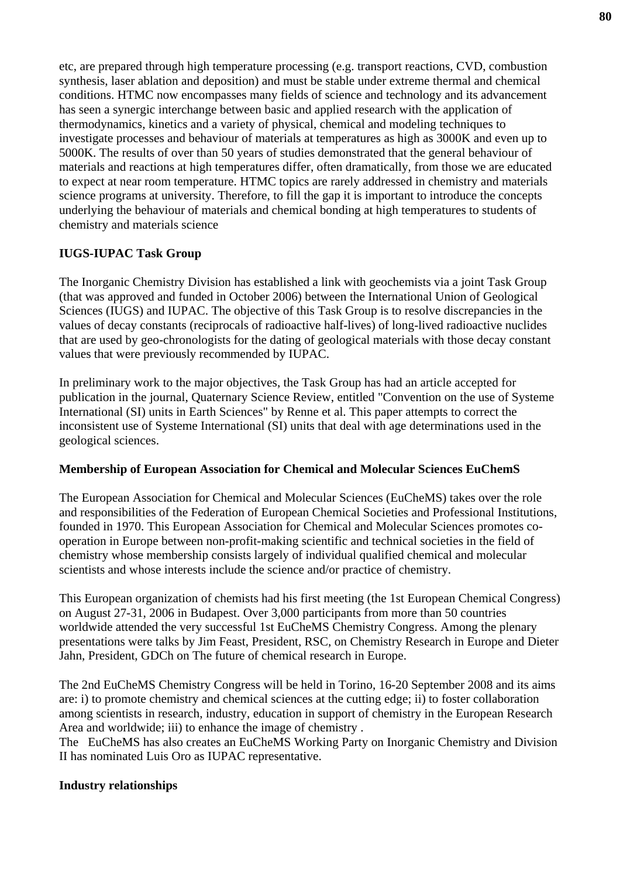etc, are prepared through high temperature processing (e.g. transport reactions, CVD, combustion synthesis, laser ablation and deposition) and must be stable under extreme thermal and chemical conditions. HTMC now encompasses many fields of science and technology and its advancement has seen a synergic interchange between basic and applied research with the application of thermodynamics, kinetics and a variety of physical, chemical and modeling techniques to investigate processes and behaviour of materials at temperatures as high as 3000K and even up to 5000K. The results of over than 50 years of studies demonstrated that the general behaviour of materials and reactions at high temperatures differ, often dramatically, from those we are educated to expect at near room temperature. HTMC topics are rarely addressed in chemistry and materials science programs at university. Therefore, to fill the gap it is important to introduce the concepts underlying the behaviour of materials and chemical bonding at high temperatures to students of chemistry and materials science

# **IUGS-IUPAC Task Group**

The Inorganic Chemistry Division has established a link with geochemists via a joint Task Group (that was approved and funded in October 2006) between the International Union of Geological Sciences (IUGS) and IUPAC. The objective of this Task Group is to resolve discrepancies in the values of decay constants (reciprocals of radioactive half-lives) of long-lived radioactive nuclides that are used by geo-chronologists for the dating of geological materials with those decay constant values that were previously recommended by IUPAC.

In preliminary work to the major objectives, the Task Group has had an article accepted for publication in the journal, Quaternary Science Review, entitled "Convention on the use of Systeme International (SI) units in Earth Sciences" by Renne et al. This paper attempts to correct the inconsistent use of Systeme International (SI) units that deal with age determinations used in the geological sciences.

# **Membership of European Association for Chemical and Molecular Sciences EuChemS**

The European Association for Chemical and Molecular Sciences (EuCheMS) takes over the role and responsibilities of the Federation of European Chemical Societies and Professional Institutions, founded in 1970. This European Association for Chemical and Molecular Sciences promotes cooperation in Europe between non-profit-making scientific and technical societies in the field of chemistry whose membership consists largely of individual qualified chemical and molecular scientists and whose interests include the science and/or practice of chemistry.

This European organization of chemists had his first meeting (the 1st European Chemical Congress) on August 27-31, 2006 in Budapest. Over 3,000 participants from more than 50 countries worldwide attended the very successful 1st EuCheMS Chemistry Congress. Among the plenary presentations were talks by Jim Feast, President, RSC, on Chemistry Research in Europe and Dieter Jahn, President, GDCh on The future of chemical research in Europe.

The 2nd EuCheMS Chemistry Congress will be held in Torino, 16-20 September 2008 and its aims are: i) to promote chemistry and chemical sciences at the cutting edge; ii) to foster collaboration among scientists in research, industry, education in support of chemistry in the European Research Area and worldwide; iii) to enhance the image of chemistry .

The EuCheMS has also creates an EuCheMS Working Party on Inorganic Chemistry and Division II has nominated Luis Oro as IUPAC representative.

### **Industry relationships**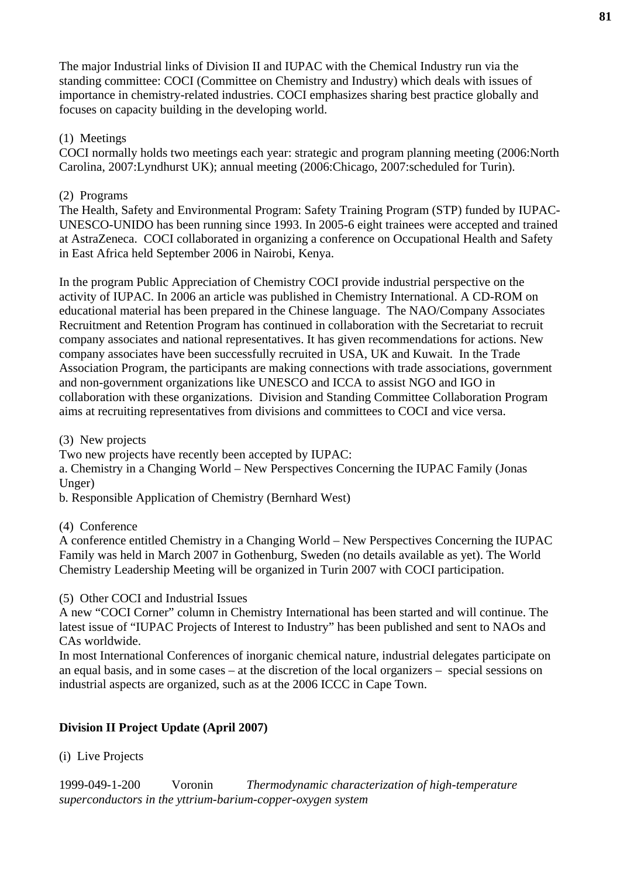The major Industrial links of Division II and IUPAC with the Chemical Industry run via the standing committee: COCI (Committee on Chemistry and Industry) which deals with issues of importance in chemistry-related industries. COCI emphasizes sharing best practice globally and focuses on capacity building in the developing world.

### (1) Meetings

COCI normally holds two meetings each year: strategic and program planning meeting (2006:North Carolina, 2007:Lyndhurst UK); annual meeting (2006:Chicago, 2007:scheduled for Turin).

### (2) Programs

The Health, Safety and Environmental Program: Safety Training Program (STP) funded by IUPAC-UNESCO-UNIDO has been running since 1993. In 2005-6 eight trainees were accepted and trained at AstraZeneca. COCI collaborated in organizing a conference on Occupational Health and Safety in East Africa held September 2006 in Nairobi, Kenya.

In the program Public Appreciation of Chemistry COCI provide industrial perspective on the activity of IUPAC. In 2006 an article was published in Chemistry International. A CD-ROM on educational material has been prepared in the Chinese language. The NAO/Company Associates Recruitment and Retention Program has continued in collaboration with the Secretariat to recruit company associates and national representatives. It has given recommendations for actions. New company associates have been successfully recruited in USA, UK and Kuwait. In the Trade Association Program, the participants are making connections with trade associations, government and non-government organizations like UNESCO and ICCA to assist NGO and IGO in collaboration with these organizations. Division and Standing Committee Collaboration Program aims at recruiting representatives from divisions and committees to COCI and vice versa.

(3) New projects

Two new projects have recently been accepted by IUPAC:

a. Chemistry in a Changing World – New Perspectives Concerning the IUPAC Family (Jonas Unger)

b. Responsible Application of Chemistry (Bernhard West)

### (4) Conference

A conference entitled Chemistry in a Changing World – New Perspectives Concerning the IUPAC Family was held in March 2007 in Gothenburg, Sweden (no details available as yet). The World Chemistry Leadership Meeting will be organized in Turin 2007 with COCI participation.

(5) Other COCI and Industrial Issues

A new "COCI Corner" column in Chemistry International has been started and will continue. The latest issue of "IUPAC Projects of Interest to Industry" has been published and sent to NAOs and CAs worldwide.

In most International Conferences of inorganic chemical nature, industrial delegates participate on an equal basis, and in some cases – at the discretion of the local organizers – special sessions on industrial aspects are organized, such as at the 2006 ICCC in Cape Town.

# **Division II Project Update (April 2007)**

(i) Live Projects

1999-049-1-200 Voronin *Thermodynamic characterization of high-temperature superconductors in the yttrium-barium-copper-oxygen system*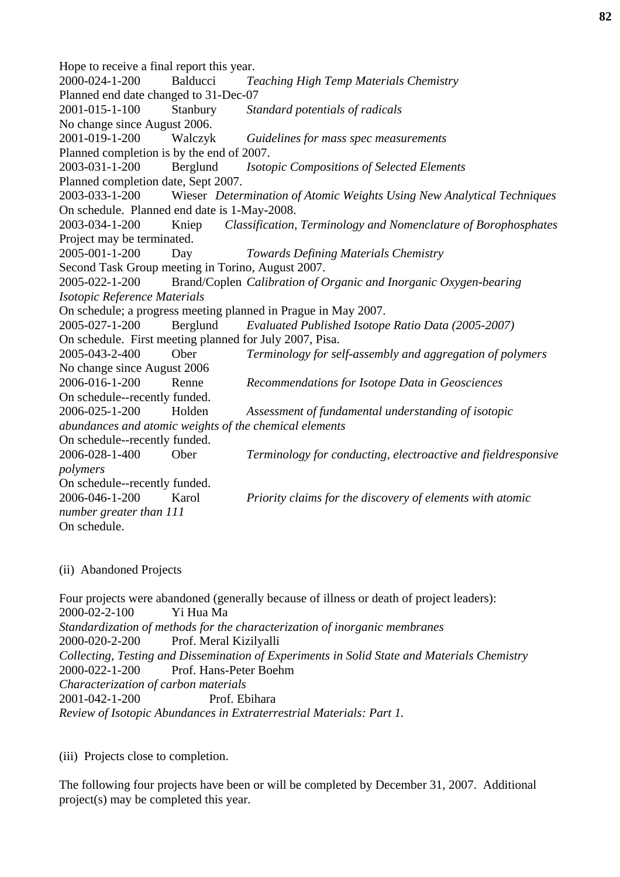Hope to receive a final report this year. 2000-024-1-200 Balducci *Teaching High Temp Materials Chemistry* Planned end date changed to 31-Dec-07 2001-015-1-100 Stanbury *Standard potentials of radicals* No change since August 2006. 2001-019-1-200 Walczyk *Guidelines for mass spec measurements* Planned completion is by the end of 2007. 2003-031-1-200 Berglund *Isotopic Compositions of Selected Elements* Planned completion date, Sept 2007. 2003-033-1-200 Wieser *Determination of Atomic Weights Using New Analytical Techniques* On schedule. Planned end date is 1-May-2008. 2003-034-1-200 Kniep *Classification, Terminology and Nomenclature of Borophosphates* Project may be terminated. 2005-001-1-200 Day *Towards Defining Materials Chemistry* Second Task Group meeting in Torino, August 2007. 2005-022-1-200 Brand/Coplen *Calibration of Organic and Inorganic Oxygen-bearing Isotopic Reference Materials* On schedule; a progress meeting planned in Prague in May 2007. 2005-027-1-200 Berglund *Evaluated Published Isotope Ratio Data (2005-2007)* On schedule. First meeting planned for July 2007, Pisa. 2005-043-2-400 Ober *Terminology for self-assembly and aggregation of polymers* No change since August 2006 2006-016-1-200 Renne *Recommendations for Isotope Data in Geosciences* On schedule--recently funded. 2006-025-1-200 Holden *Assessment of fundamental understanding of isotopic abundances and atomic weights of the chemical elements* On schedule--recently funded. 2006-028-1-400 Ober *Terminology for conducting, electroactive and fieldresponsive polymers* On schedule--recently funded. 2006-046-1-200 Karol *Priority claims for the discovery of elements with atomic number greater than 111* On schedule.

(ii) Abandoned Projects

Four projects were abandoned (generally because of illness or death of project leaders): 2000-02-2-100 Yi Hua Ma *Standardization of methods for the characterization of inorganic membranes*  2000-020-2-200 Prof. Meral Kizilyalli *Collecting, Testing and Dissemination of Experiments in Solid State and Materials Chemistry*  2000-022-1-200 Prof. Hans-Peter Boehm *Characterization of carbon materials*  2001-042-1-200 Prof. Ebihara *Review of Isotopic Abundances in Extraterrestrial Materials: Part 1.* 

(iii) Projects close to completion.

The following four projects have been or will be completed by December 31, 2007. Additional project(s) may be completed this year.